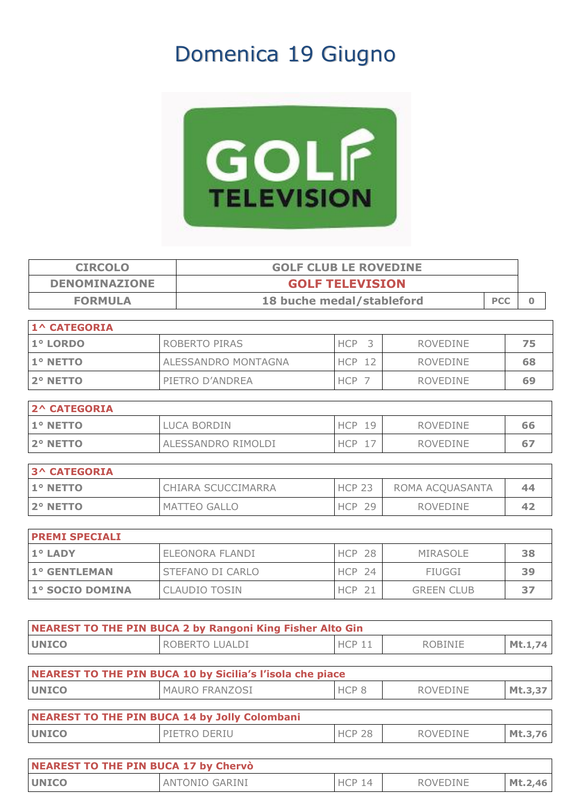## Domenica 19 Giugno



| <b>CIRCOLO</b><br><b>GOLF CLUB LE ROVEDINE</b> |                           |                           |                   |            |              |
|------------------------------------------------|---------------------------|---------------------------|-------------------|------------|--------------|
| <b>DENOMINAZIONE</b>                           |                           | <b>GOLF TELEVISION</b>    |                   |            |              |
| <b>FORMULA</b>                                 |                           | 18 buche medal/stableford |                   | <b>PCC</b> | $\mathbf{0}$ |
| <b>1^ CATEGORIA</b>                            |                           |                           |                   |            |              |
| 1° LORDO                                       | ROBERTO PIRAS             | HCP <sub>3</sub>          | <b>ROVEDINE</b>   |            | 75           |
| 1º NETTO                                       | ALESSANDRO MONTAGNA       | <b>HCP 12</b>             | <b>ROVEDINE</b>   |            | 68           |
| 2° NETTO                                       | PIETRO D'ANDREA           | HCP 7                     | <b>ROVEDINE</b>   |            | 69           |
| <b>2^ CATEGORIA</b>                            |                           |                           |                   |            |              |
| 1º NETTO                                       | <b>LUCA BORDIN</b>        | <b>HCP 19</b>             | <b>ROVEDINE</b>   |            | 66           |
| 2° NETTO                                       | ALESSANDRO RIMOLDI        | HCP 17                    | <b>ROVEDINE</b>   |            | 67           |
|                                                |                           |                           |                   |            |              |
| <b>3^ CATEGORIA</b>                            |                           |                           |                   |            |              |
| 1º NETTO                                       | <b>CHIARA SCUCCIMARRA</b> | <b>HCP 23</b>             | ROMA ACQUASANTA   |            | 44           |
| 2° NETTO                                       | MATTEO GALLO              | <b>HCP 29</b>             | <b>ROVEDINE</b>   |            | 42           |
|                                                |                           |                           |                   |            |              |
| <b>PREMI SPECIALI</b>                          |                           |                           |                   |            |              |
| 1° LADY                                        | ELEONORA FLANDI           | <b>HCP 28</b>             | <b>MIRASOLE</b>   |            | 38           |
| 1° GENTLEMAN                                   | STEFANO DI CARLO          | <b>HCP 24</b>             | <b>FIUGGI</b>     |            | 39           |
| 1° SOCIO DOMINA                                | <b>CLAUDIO TOSIN</b>      | <b>HCP 21</b>             | <b>GREEN CLUB</b> |            | 37           |

| NEAREST TO THE PIN BUCA 2 by Rangoni King Fisher Alto Gin |                |          |         |         |  |
|-----------------------------------------------------------|----------------|----------|---------|---------|--|
| <b>IUNICO</b>                                             | ROBERTO LUALDI | $HCP$ 11 | ROBINIE | Mt.1,74 |  |

| NEAREST TO THE PIN BUCA 10 by Sicilia's l'isola che piace |                       |                  |                 |         |  |  |
|-----------------------------------------------------------|-----------------------|------------------|-----------------|---------|--|--|
| <b>UNICO</b>                                              | <b>MAURO FRANZOSI</b> | HCP <sub>8</sub> | ROVEDINE        | Mt.3,37 |  |  |
| NEAREST TO THE PIN BUCA 14 by Jolly Colombani             |                       |                  |                 |         |  |  |
| <b>UNICO</b>                                              | PIETRO DERIU          | <b>HCP 28</b>    | <b>ROVEDINE</b> | Mt.3.76 |  |  |

| NEAREST TO THE PIN BUCA 17 by Chervò |                |               |          |         |  |
|--------------------------------------|----------------|---------------|----------|---------|--|
| <b>UNICO</b>                         | ANTONIO GARINI | <b>HCP 14</b> | ROVEDINE | Mt.2,46 |  |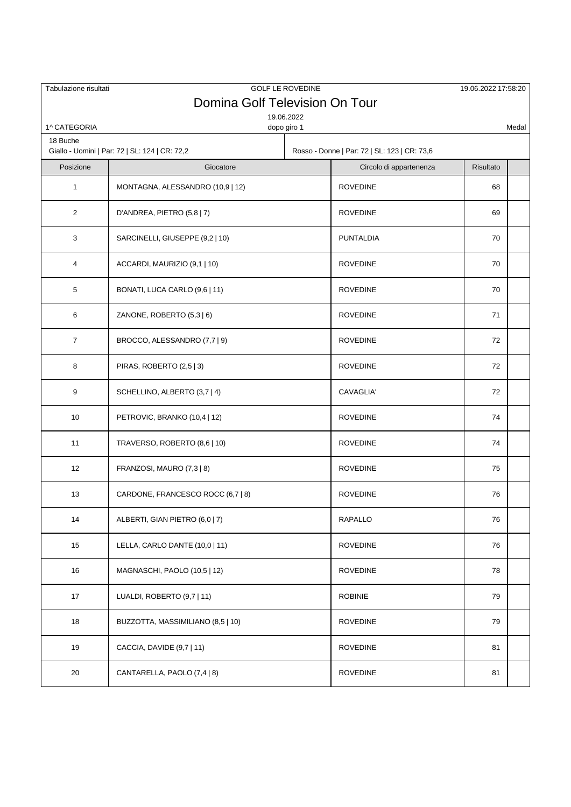| Tabulazione risultati |                                                | <b>GOLF LE ROVEDINE</b>   |                                              | 19.06.2022 17:58:20 |       |
|-----------------------|------------------------------------------------|---------------------------|----------------------------------------------|---------------------|-------|
|                       | Domina Golf Television On Tour                 |                           |                                              |                     |       |
| 1^ CATEGORIA          |                                                | 19.06.2022<br>dopo giro 1 |                                              |                     | Medal |
| 18 Buche              |                                                |                           |                                              |                     |       |
|                       | Giallo - Uomini   Par: 72   SL: 124   CR: 72,2 |                           | Rosso - Donne   Par: 72   SL: 123   CR: 73,6 |                     |       |
| Posizione             | Giocatore                                      |                           | Circolo di appartenenza                      | Risultato           |       |
| $\mathbf{1}$          | MONTAGNA, ALESSANDRO (10,9   12)               |                           | <b>ROVEDINE</b>                              | 68                  |       |
| $\overline{2}$        | D'ANDREA, PIETRO (5,8   7)                     |                           | <b>ROVEDINE</b>                              | 69                  |       |
| 3                     | SARCINELLI, GIUSEPPE (9,2   10)                |                           | <b>PUNTALDIA</b>                             | 70                  |       |
| 4                     | ACCARDI, MAURIZIO (9,1   10)                   |                           | <b>ROVEDINE</b>                              | 70                  |       |
| 5                     | BONATI, LUCA CARLO (9,6   11)                  |                           | <b>ROVEDINE</b>                              | 70                  |       |
| 6                     | ZANONE, ROBERTO (5,3   6)                      |                           | <b>ROVEDINE</b>                              | 71                  |       |
| 7                     | BROCCO, ALESSANDRO (7,7   9)                   |                           | <b>ROVEDINE</b>                              | 72                  |       |
| 8                     | PIRAS, ROBERTO (2,5   3)                       |                           | <b>ROVEDINE</b>                              | 72                  |       |
| 9                     | SCHELLINO, ALBERTO (3,7   4)                   |                           | CAVAGLIA'                                    | 72                  |       |
| 10                    | PETROVIC, BRANKO (10,4   12)                   |                           | <b>ROVEDINE</b>                              | 74                  |       |
| 11                    | TRAVERSO, ROBERTO (8,6   10)                   |                           | <b>ROVEDINE</b>                              | 74                  |       |
| 12                    | FRANZOSI, MAURO (7,3   8)                      |                           | <b>ROVEDINE</b>                              | 75                  |       |
| 13                    | CARDONE, FRANCESCO ROCC (6,7   8)              |                           | <b>ROVEDINE</b>                              | 76                  |       |
| 14                    | ALBERTI, GIAN PIETRO (6,0   7)                 |                           | RAPALLO                                      | 76                  |       |
| 15                    | LELLA, CARLO DANTE (10,0   11)                 |                           | <b>ROVEDINE</b>                              | 76                  |       |
| 16                    | MAGNASCHI, PAOLO (10,5   12)                   |                           | <b>ROVEDINE</b>                              | 78                  |       |
| 17                    | LUALDI, ROBERTO (9,7   11)                     |                           | <b>ROBINIE</b>                               | 79                  |       |
| 18                    | BUZZOTTA, MASSIMILIANO (8,5   10)              |                           | <b>ROVEDINE</b>                              | 79                  |       |
| 19                    | CACCIA, DAVIDE (9,7   11)                      |                           | <b>ROVEDINE</b>                              | 81                  |       |
| 20                    | CANTARELLA, PAOLO (7,4   8)                    |                           | <b>ROVEDINE</b>                              | 81                  |       |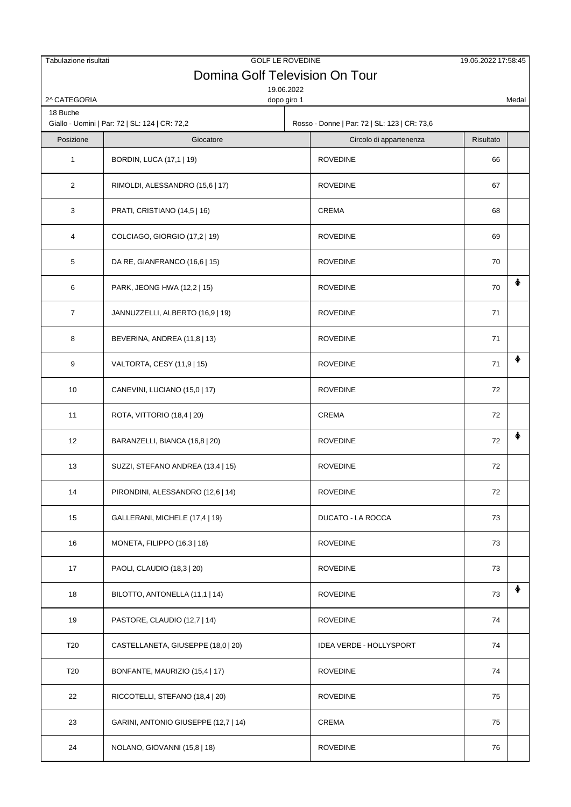| Tabulazione risultati    | Domina Golf Television On Tour                              | <b>GOLF LE ROVEDINE</b> |                                                                         | 19.06.2022 17:58:45 |       |
|--------------------------|-------------------------------------------------------------|-------------------------|-------------------------------------------------------------------------|---------------------|-------|
|                          |                                                             | 19.06.2022              |                                                                         |                     |       |
| 2^ CATEGORIA<br>18 Buche |                                                             | dopo giro 1             |                                                                         |                     | Medal |
| Posizione                | Giallo - Uomini   Par: 72   SL: 124   CR: 72,2<br>Giocatore |                         | Rosso - Donne   Par: 72   SL: 123   CR: 73,6<br>Circolo di appartenenza | Risultato           |       |
| $\mathbf{1}$             | BORDIN, LUCA (17,1   19)                                    |                         | <b>ROVEDINE</b>                                                         | 66                  |       |
| $\overline{2}$           | RIMOLDI, ALESSANDRO (15,6   17)                             |                         | <b>ROVEDINE</b>                                                         | 67                  |       |
| 3                        | PRATI, CRISTIANO (14,5   16)                                |                         | <b>CREMA</b>                                                            | 68                  |       |
| 4                        | COLCIAGO, GIORGIO (17,2   19)                               |                         | <b>ROVEDINE</b>                                                         | 69                  |       |
| 5                        | DA RE, GIANFRANCO (16,6   15)                               |                         | <b>ROVEDINE</b>                                                         | 70                  |       |
| 6                        | PARK, JEONG HWA (12,2   15)                                 |                         | <b>ROVEDINE</b>                                                         | 70                  |       |
| $\overline{7}$           | JANNUZZELLI, ALBERTO (16,9   19)                            |                         | <b>ROVEDINE</b>                                                         | 71                  |       |
| 8                        | BEVERINA, ANDREA (11,8   13)                                |                         | <b>ROVEDINE</b>                                                         | 71                  |       |
| 9                        | VALTORTA, CESY (11,9   15)                                  |                         | <b>ROVEDINE</b>                                                         | 71                  | 个     |
| 10                       | CANEVINI, LUCIANO (15,0   17)                               |                         | <b>ROVEDINE</b>                                                         | 72                  |       |
| 11                       | ROTA, VITTORIO (18,4   20)                                  |                         | <b>CREMA</b>                                                            | 72                  |       |
| 12                       | BARANZELLI, BIANCA (16,8   20)                              |                         | <b>ROVEDINE</b>                                                         | 72                  | ♠     |
| 13                       | SUZZI, STEFANO ANDREA (13,4   15)                           |                         | <b>ROVEDINE</b>                                                         | 72                  |       |
| 14                       | PIRONDINI, ALESSANDRO (12,6   14)                           |                         | <b>ROVEDINE</b>                                                         | 72                  |       |
| 15                       | GALLERANI, MICHELE (17,4   19)                              |                         | <b>DUCATO - LA ROCCA</b>                                                | 73                  |       |
| 16                       | MONETA, FILIPPO (16,3   18)                                 |                         | <b>ROVEDINE</b>                                                         | 73                  |       |
| 17                       | PAOLI, CLAUDIO (18,3   20)                                  |                         | <b>ROVEDINE</b>                                                         | 73                  |       |
| 18                       | BILOTTO, ANTONELLA (11,1   14)                              |                         | <b>ROVEDINE</b>                                                         | 73                  | ♠     |
| 19                       | PASTORE, CLAUDIO (12,7   14)                                |                         | <b>ROVEDINE</b>                                                         | 74                  |       |
| T <sub>20</sub>          | CASTELLANETA, GIUSEPPE (18,0   20)                          |                         | <b>IDEA VERDE - HOLLYSPORT</b>                                          | 74                  |       |
| T <sub>20</sub>          | BONFANTE, MAURIZIO (15,4   17)                              |                         | <b>ROVEDINE</b>                                                         | 74                  |       |
| 22                       | RICCOTELLI, STEFANO (18,4   20)                             |                         | <b>ROVEDINE</b>                                                         | 75                  |       |
| 23                       | GARINI, ANTONIO GIUSEPPE (12,7   14)                        |                         | <b>CREMA</b>                                                            | 75                  |       |
| 24                       | NOLANO, GIOVANNI (15,8   18)                                |                         | <b>ROVEDINE</b>                                                         | 76                  |       |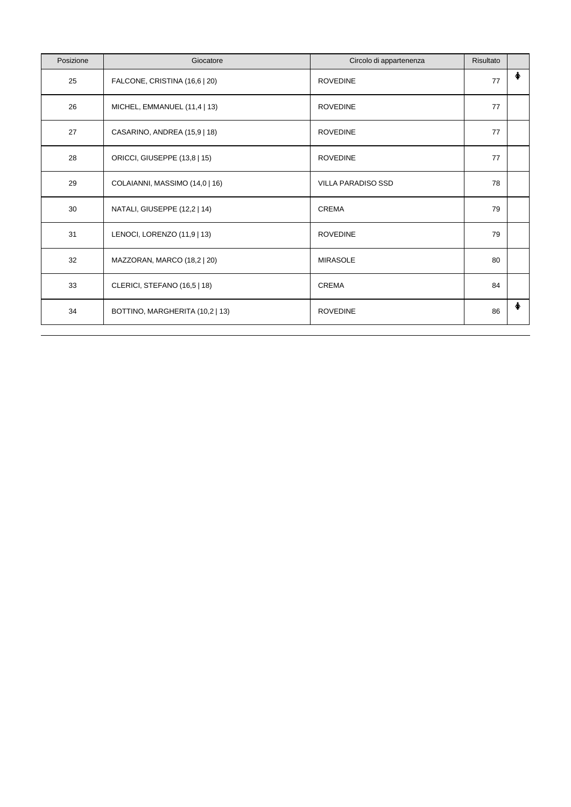| Posizione | Giocatore                       | Circolo di appartenenza   | Risultato |   |
|-----------|---------------------------------|---------------------------|-----------|---|
| 25        | FALCONE, CRISTINA (16,6   20)   | <b>ROVEDINE</b>           | 77        | ∲ |
| 26        | MICHEL, EMMANUEL (11,4   13)    | <b>ROVEDINE</b>           | 77        |   |
| 27        | CASARINO, ANDREA (15,9   18)    | <b>ROVEDINE</b>           | 77        |   |
| 28        | ORICCI, GIUSEPPE (13,8   15)    | <b>ROVEDINE</b>           | 77        |   |
| 29        | COLAIANNI, MASSIMO (14,0   16)  | <b>VILLA PARADISO SSD</b> | 78        |   |
| 30        | NATALI, GIUSEPPE (12,2   14)    | <b>CREMA</b>              | 79        |   |
| 31        | LENOCI, LORENZO (11,9   13)     | <b>ROVEDINE</b>           | 79        |   |
| 32        | MAZZORAN, MARCO (18,2   20)     | <b>MIRASOLE</b>           | 80        |   |
| 33        | CLERICI, STEFANO (16,5   18)    | <b>CREMA</b>              | 84        |   |
| 34        | BOTTINO, MARGHERITA (10,2   13) | <b>ROVEDINE</b>           | 86        | ∲ |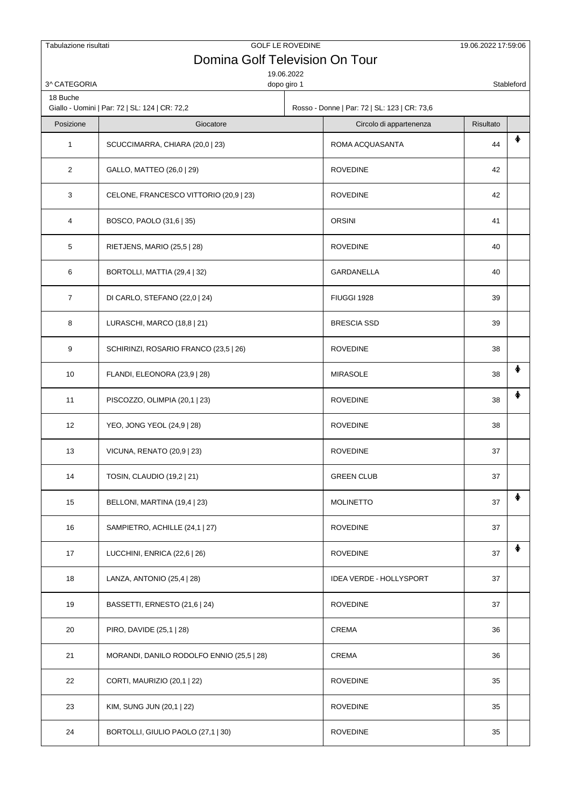| Tabulazione risultati   | Domina Golf Television On Tour                 | <b>GOLF LE ROVEDINE</b> |                                              | 19.06.2022 17:59:06 |            |
|-------------------------|------------------------------------------------|-------------------------|----------------------------------------------|---------------------|------------|
|                         |                                                | 19.06.2022              |                                              |                     |            |
| 3^CATEGORIA<br>18 Buche |                                                | dopo giro 1             |                                              |                     | Stableford |
|                         | Giallo - Uomini   Par: 72   SL: 124   CR: 72,2 |                         | Rosso - Donne   Par: 72   SL: 123   CR: 73,6 |                     |            |
| Posizione               | Giocatore                                      |                         | Circolo di appartenenza                      | Risultato           | ♠          |
| 1                       | SCUCCIMARRA, CHIARA (20,0   23)                |                         | ROMA ACQUASANTA                              | 44                  |            |
| $\overline{2}$          | GALLO, MATTEO (26,0   29)                      |                         | <b>ROVEDINE</b>                              | 42                  |            |
| 3                       | CELONE, FRANCESCO VITTORIO (20,9   23)         |                         | <b>ROVEDINE</b>                              | 42                  |            |
| 4                       | BOSCO, PAOLO (31,6   35)                       |                         | <b>ORSINI</b>                                | 41                  |            |
| 5                       | RIETJENS, MARIO (25,5   28)                    |                         | <b>ROVEDINE</b>                              | 40                  |            |
| 6                       | BORTOLLI, MATTIA (29,4   32)                   |                         | GARDANELLA                                   | 40                  |            |
| $\overline{7}$          | DI CARLO, STEFANO (22,0   24)                  |                         | FIUGGI 1928                                  | 39                  |            |
| 8                       | LURASCHI, MARCO (18,8   21)                    |                         | <b>BRESCIA SSD</b>                           | 39                  |            |
| 9                       | SCHIRINZI, ROSARIO FRANCO (23,5   26)          |                         | <b>ROVEDINE</b>                              | 38                  |            |
| 10                      | FLANDI, ELEONORA (23,9   28)                   |                         | <b>MIRASOLE</b>                              | 38                  | ♠          |
| 11                      | PISCOZZO, OLIMPIA (20,1   23)                  |                         | <b>ROVEDINE</b>                              | 38                  | ∔          |
| 12                      | YEO, JONG YEOL (24,9   28)                     |                         | <b>ROVEDINE</b>                              | 38                  |            |
| 13                      | VICUNA, RENATO (20,9   23)                     |                         | <b>ROVEDINE</b>                              | 37                  |            |
| 14                      | TOSIN, CLAUDIO (19,2   21)                     |                         | <b>GREEN CLUB</b>                            | 37                  |            |
| 15                      | BELLONI, MARTINA (19,4   23)                   |                         | <b>MOLINETTO</b>                             | 37                  | ♠          |
| 16                      | SAMPIETRO, ACHILLE (24,1   27)                 |                         | <b>ROVEDINE</b>                              | 37                  |            |
| 17                      | LUCCHINI, ENRICA (22,6   26)                   |                         | <b>ROVEDINE</b>                              | 37                  | ♠          |
| 18                      | LANZA, ANTONIO (25,4   28)                     |                         | <b>IDEA VERDE - HOLLYSPORT</b>               | 37                  |            |
| 19                      | BASSETTI, ERNESTO (21,6   24)                  |                         | <b>ROVEDINE</b>                              | 37                  |            |
| 20                      | PIRO, DAVIDE (25,1   28)                       |                         | CREMA                                        | 36                  |            |
| 21                      | MORANDI, DANILO RODOLFO ENNIO (25,5   28)      |                         | CREMA                                        | 36                  |            |
| 22                      | CORTI, MAURIZIO (20,1   22)                    |                         | <b>ROVEDINE</b>                              | 35                  |            |
| 23                      | KIM, SUNG JUN (20,1   22)                      |                         | <b>ROVEDINE</b>                              | 35                  |            |
| 24                      | BORTOLLI, GIULIO PAOLO (27,1   30)             |                         | <b>ROVEDINE</b>                              | 35                  |            |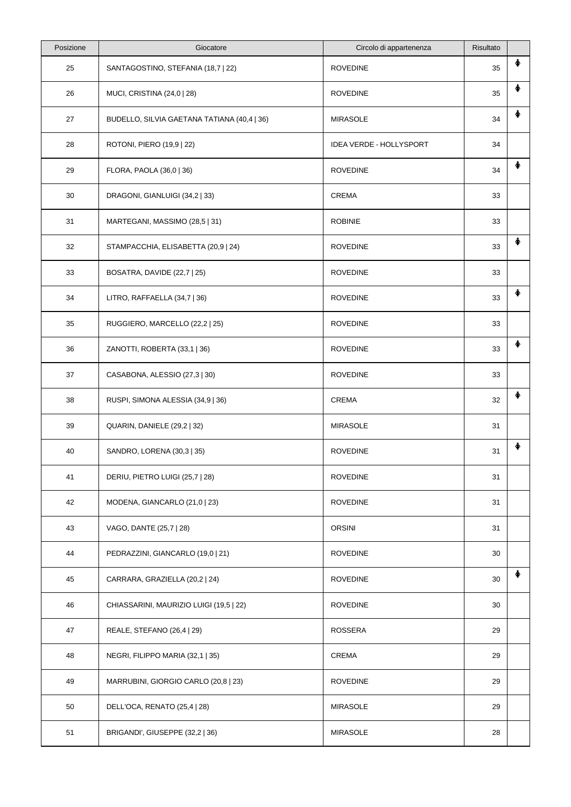| Posizione | Giocatore                                   | Circolo di appartenenza | Risultato |   |
|-----------|---------------------------------------------|-------------------------|-----------|---|
| 25        | SANTAGOSTINO, STEFANIA (18,7   22)          | <b>ROVEDINE</b>         | 35        |   |
| 26        | MUCI, CRISTINA (24,0   28)                  | <b>ROVEDINE</b>         | 35        | ∲ |
| 27        | BUDELLO, SILVIA GAETANA TATIANA (40,4   36) | <b>MIRASOLE</b>         | 34        | ♠ |
| 28        | ROTONI, PIERO (19,9   22)                   | IDEA VERDE - HOLLYSPORT | 34        |   |
| 29        | FLORA, PAOLA (36,0   36)                    | <b>ROVEDINE</b>         | 34        | ♠ |
| 30        | DRAGONI, GIANLUIGI (34,2   33)              | <b>CREMA</b>            | 33        |   |
| 31        | MARTEGANI, MASSIMO (28,5   31)              | <b>ROBINIE</b>          | 33        |   |
| 32        | STAMPACCHIA, ELISABETTA (20,9   24)         | <b>ROVEDINE</b>         | 33        | ∲ |
| 33        | BOSATRA, DAVIDE (22,7   25)                 | <b>ROVEDINE</b>         | 33        |   |
| 34        | LITRO, RAFFAELLA (34,7   36)                | <b>ROVEDINE</b>         | 33        | ♠ |
| 35        | RUGGIERO, MARCELLO (22,2   25)              | <b>ROVEDINE</b>         | 33        |   |
| 36        | ZANOTTI, ROBERTA (33,1   36)                | <b>ROVEDINE</b>         | 33        | 个 |
| 37        | CASABONA, ALESSIO (27,3   30)               | <b>ROVEDINE</b>         | 33        |   |
| 38        | RUSPI, SIMONA ALESSIA (34,9   36)           | <b>CREMA</b>            | 32        | ♠ |
| 39        | QUARIN, DANIELE (29,2   32)                 | <b>MIRASOLE</b>         | 31        |   |
| 40        | SANDRO, LORENA (30,3   35)                  | <b>ROVEDINE</b>         | 31        |   |
| 41        | DERIU, PIETRO LUIGI (25,7   28)             | <b>ROVEDINE</b>         | 31        |   |
| 42        | MODENA, GIANCARLO (21,0   23)               | <b>ROVEDINE</b>         | 31        |   |
| 43        | VAGO, DANTE (25,7   28)                     | <b>ORSINI</b>           | 31        |   |
| 44        | PEDRAZZINI, GIANCARLO (19,0   21)           | <b>ROVEDINE</b>         | 30        |   |
| 45        | CARRARA, GRAZIELLA (20,2   24)              | <b>ROVEDINE</b>         | 30        | ♠ |
| 46        | CHIASSARINI, MAURIZIO LUIGI (19,5   22)     | <b>ROVEDINE</b>         | 30        |   |
| 47        | REALE, STEFANO (26,4   29)                  | <b>ROSSERA</b>          | 29        |   |
| 48        | NEGRI, FILIPPO MARIA (32,1   35)            | CREMA                   | 29        |   |
| 49        | MARRUBINI, GIORGIO CARLO (20,8   23)        | <b>ROVEDINE</b>         | 29        |   |
| 50        | DELL'OCA, RENATO (25,4   28)                | <b>MIRASOLE</b>         | 29        |   |
| 51        | BRIGANDI', GIUSEPPE (32,2   36)             | <b>MIRASOLE</b>         | 28        |   |